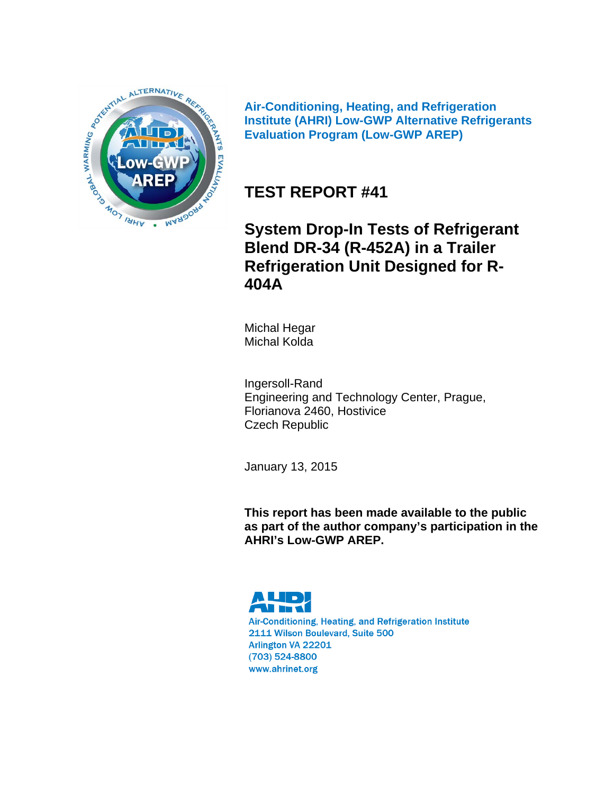

**Air-Conditioning, Heating, and Refrigeration Institute (AHRI) Low-GWP Alternative Refrigerants Evaluation Program (Low-GWP AREP)** 

**TEST REPORT #41** 

**System Drop-In Tests of Refrigerant Blend DR-34 (R-452A) in a Trailer Refrigeration Unit Designed for R-404A**

Michal Hegar Michal Kolda

Ingersoll-Rand Engineering and Technology Center, Prague, Florianova 2460, Hostivice Czech Republic

January 13, 2015

**This report has been made available to the public as part of the author company's participation in the AHRI's Low-GWP AREP.** 

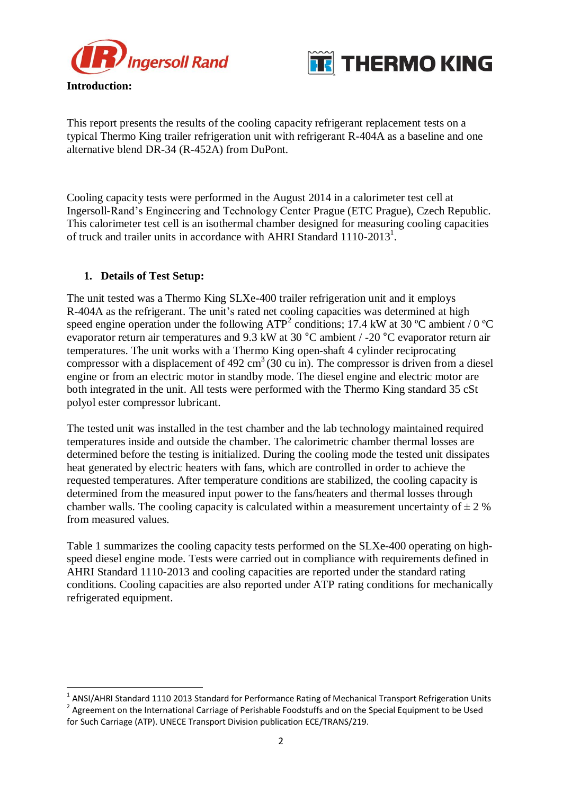



**Introduction:**

 $\overline{a}$ 

This report presents the results of the cooling capacity refrigerant replacement tests on a typical Thermo King trailer refrigeration unit with refrigerant R-404A as a baseline and one alternative blend DR-34 (R-452A) from DuPont.

Cooling capacity tests were performed in the August 2014 in a calorimeter test cell at Ingersoll-Rand's Engineering and Technology Center Prague (ETC Prague), Czech Republic. This calorimeter test cell is an isothermal chamber designed for measuring cooling capacities of truck and trailer units in accordance with AHRI Standard  $1110-2013<sup>1</sup>$ .

## **1. Details of Test Setup:**

The unit tested was a Thermo King SLXe-400 trailer refrigeration unit and it employs R-404A as the refrigerant. The unit's rated net cooling capacities was determined at high speed engine operation under the following ATP<sup>2</sup> conditions; 17.4 kW at 30 °C ambient / 0 °C evaporator return air temperatures and 9.3 kW at 30 °C ambient / -20 °C evaporator return air temperatures. The unit works with a Thermo King open-shaft 4 cylinder reciprocating compressor with a displacement of 492 cm<sup>3</sup> (30 cu in). The compressor is driven from a diesel engine or from an electric motor in standby mode. The diesel engine and electric motor are both integrated in the unit. All tests were performed with the Thermo King standard 35 cSt polyol ester compressor lubricant.

The tested unit was installed in the test chamber and the lab technology maintained required temperatures inside and outside the chamber. The calorimetric chamber thermal losses are determined before the testing is initialized. During the cooling mode the tested unit dissipates heat generated by electric heaters with fans, which are controlled in order to achieve the requested temperatures. After temperature conditions are stabilized, the cooling capacity is determined from the measured input power to the fans/heaters and thermal losses through chamber walls. The cooling capacity is calculated within a measurement uncertainty of  $\pm 2$  % from measured values.

Table 1 summarizes the cooling capacity tests performed on the SLXe-400 operating on highspeed diesel engine mode. Tests were carried out in compliance with requirements defined in AHRI Standard 1110-2013 and cooling capacities are reported under the standard rating conditions. Cooling capacities are also reported under ATP rating conditions for mechanically refrigerated equipment.

 $^{1}$  ANSI/AHRI Standard 1110 2013 Standard for Performance Rating of Mechanical Transport Refrigeration Units <sup>2</sup> Agreement on the International Carriage of Perishable Foodstuffs and on the Special Equipment to be Used for Such Carriage (ATP). UNECE Transport Division publication ECE/TRANS/219.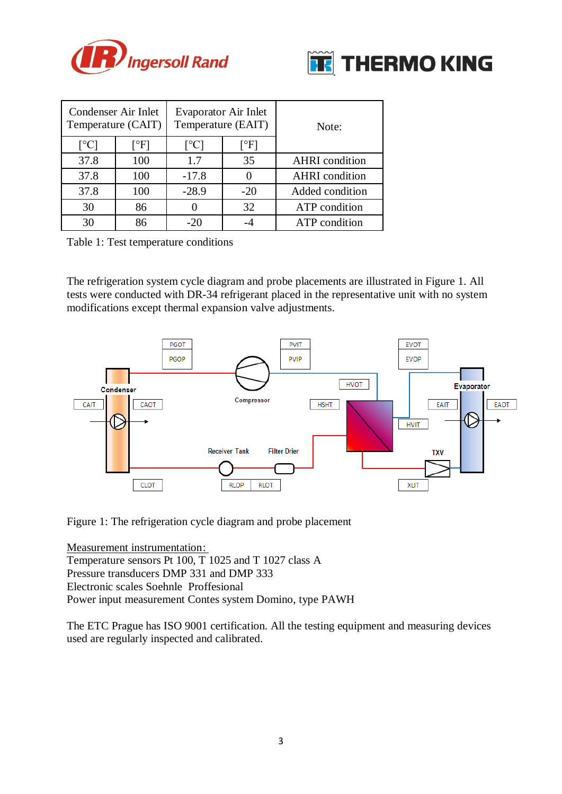



| Condenser Air Inlet       | Temperature (CAIT)                  | Evaporator Air Inlet<br>Temperature (EAIT) |                                       | Note:                 |  |  |  |
|---------------------------|-------------------------------------|--------------------------------------------|---------------------------------------|-----------------------|--|--|--|
| $\lceil{^{\circ}C}\rceil$ | $\lceil \, \circ \mathrm{F} \rceil$ | $\lceil$ <sup>o</sup> Cl                   | $\lceil \, \mathrm{^{\circ}F} \rceil$ |                       |  |  |  |
| 37.8                      | 100                                 | 1.7                                        | 35                                    | <b>AHRI</b> condition |  |  |  |
| 37.8                      | 100                                 | $-17.8$                                    | 0                                     | <b>AHRI</b> condition |  |  |  |
| 37.8                      | 100                                 | $-28.9$                                    | $-20$                                 | Added condition       |  |  |  |
| 30                        | 86                                  |                                            | 32                                    | ATP condition         |  |  |  |
| 30                        | 86                                  | $-20$                                      |                                       | ATP condition         |  |  |  |

Table 1: Test temperature conditions

The refrigeration system cycle diagram and probe placements are illustrated in Figure 1. All tests were conducted with DR-34 refrigerant placed in the representative unit with no system modifications except thermal expansion valve adjustments.



Figure 1: The refrigeration cycle diagram and probe placement

Measurement instrumentation: Temperature sensors Pt 100, T 1025 and T 1027 class A Pressure transducers DMP 331 and DMP 333 Electronic scales Soehnle Proffesional Power input measurement Contes system Domino, type PAWH

The ETC Prague has ISO 9001 certification. All the testing equipment and measuring devices used are regularly inspected and calibrated.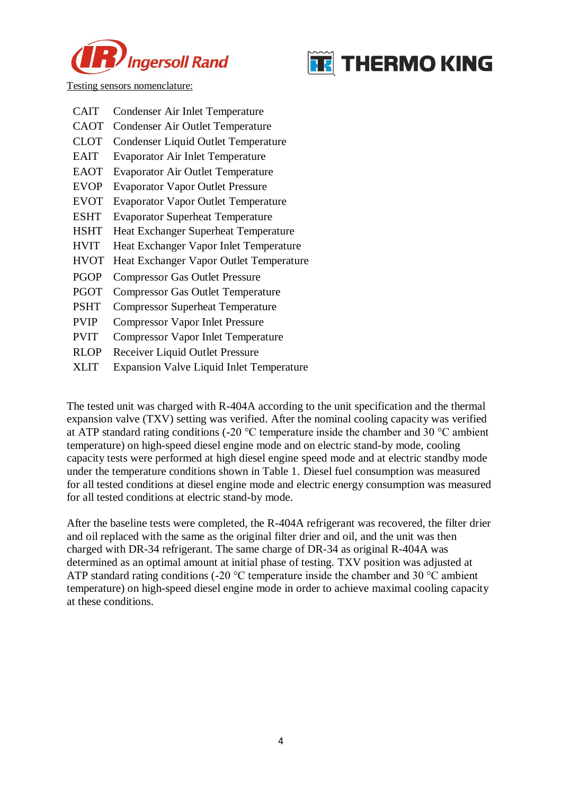



Testing sensors nomenclature:

| <b>CAIT</b> | Condenser Air Inlet Temperature                 |
|-------------|-------------------------------------------------|
| CAOT        | <b>Condenser Air Outlet Temperature</b>         |
| <b>CLOT</b> | <b>Condenser Liquid Outlet Temperature</b>      |
| EAIT        | <b>Evaporator Air Inlet Temperature</b>         |
| EAOT        | <b>Evaporator Air Outlet Temperature</b>        |
| <b>EVOP</b> | <b>Evaporator Vapor Outlet Pressure</b>         |
| <b>EVOT</b> | <b>Evaporator Vapor Outlet Temperature</b>      |
| ESHT        | <b>Evaporator Superheat Temperature</b>         |
| <b>HSHT</b> | <b>Heat Exchanger Superheat Temperature</b>     |
| HVIT        | Heat Exchanger Vapor Inlet Temperature          |
| HVOT        | Heat Exchanger Vapor Outlet Temperature         |
| PGOP        | <b>Compressor Gas Outlet Pressure</b>           |
| PGOT        | <b>Compressor Gas Outlet Temperature</b>        |
| PSHT        | <b>Compressor Superheat Temperature</b>         |
| <b>PVIP</b> | <b>Compressor Vapor Inlet Pressure</b>          |
| PVIT        | <b>Compressor Vapor Inlet Temperature</b>       |
| <b>RLOP</b> | Receiver Liquid Outlet Pressure                 |
| XLIT        | <b>Expansion Valve Liquid Inlet Temperature</b> |
|             |                                                 |

The tested unit was charged with R-404A according to the unit specification and the thermal expansion valve (TXV) setting was verified. After the nominal cooling capacity was verified at ATP standard rating conditions (-20 °C temperature inside the chamber and 30 °C ambient temperature) on high-speed diesel engine mode and on electric stand-by mode, cooling capacity tests were performed at high diesel engine speed mode and at electric standby mode under the temperature conditions shown in Table 1. Diesel fuel consumption was measured for all tested conditions at diesel engine mode and electric energy consumption was measured for all tested conditions at electric stand-by mode.

After the baseline tests were completed, the R-404A refrigerant was recovered, the filter drier and oil replaced with the same as the original filter drier and oil, and the unit was then charged with DR-34 refrigerant. The same charge of DR-34 as original R-404A was determined as an optimal amount at initial phase of testing. TXV position was adjusted at ATP standard rating conditions (-20 °C temperature inside the chamber and 30 °C ambient temperature) on high-speed diesel engine mode in order to achieve maximal cooling capacity at these conditions.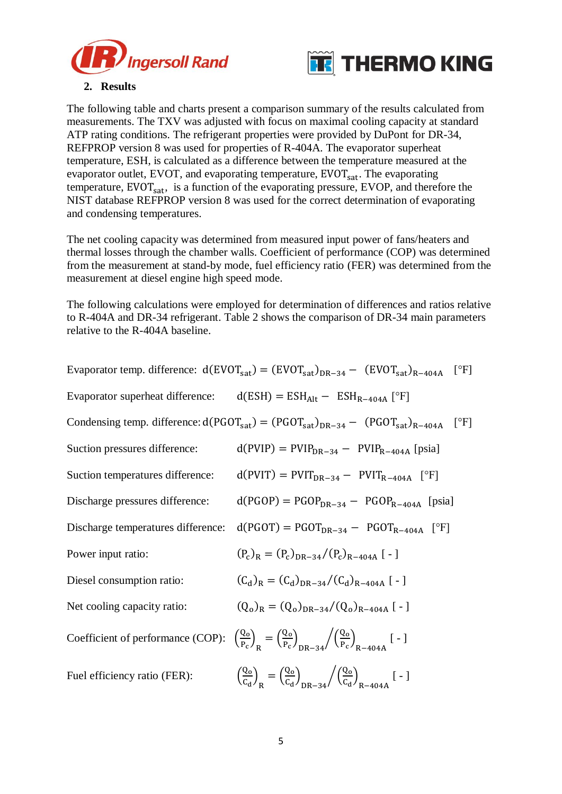



## **2. Results**

The following table and charts present a comparison summary of the results calculated from measurements. The TXV was adjusted with focus on maximal cooling capacity at standard ATP rating conditions. The refrigerant properties were provided by DuPont for DR-34, REFPROP version 8 was used for properties of R-404A. The evaporator superheat temperature, ESH, is calculated as a difference between the temperature measured at the evaporator outlet, EVOT, and evaporating temperature,  $EVOT_{sat}$ . The evaporating temperature,  $EVOT<sub>sat</sub>$ , is a function of the evaporating pressure,  $EVOP$ , and therefore the NIST database REFPROP version 8 was used for the correct determination of evaporating and condensing temperatures.

The net cooling capacity was determined from measured input power of fans/heaters and thermal losses through the chamber walls. Coefficient of performance (COP) was determined from the measurement at stand-by mode, fuel efficiency ratio (FER) was determined from the measurement at diesel engine high speed mode.

The following calculations were employed for determination of differences and ratios relative to R-404A and DR-34 refrigerant. Table 2 shows the comparison of DR-34 main parameters relative to the R-404A baseline.

|                                    | Evaporator temp. difference: $d(EVOT_{sat}) = (EVOT_{sat})_{DR-34} - (EVOT_{sat})_{R-404A}$ [°F]                         |  |  |  |  |  |  |  |  |
|------------------------------------|--------------------------------------------------------------------------------------------------------------------------|--|--|--|--|--|--|--|--|
|                                    | Evaporator superheat difference: $d(ESH) = ESHAIt - ESHR-404A$ [°F]                                                      |  |  |  |  |  |  |  |  |
|                                    | Condensing temp. difference: $d(PGOT_{sat}) = (PGOT_{sat})_{DR-34} - (PGOT_{sat})_{R-404A}$<br>$\lceil \text{°F} \rceil$ |  |  |  |  |  |  |  |  |
| Suction pressures difference:      | $d(PVIP) = PVIPDR-34 - PVIPR-404A [psia]$                                                                                |  |  |  |  |  |  |  |  |
| Suction temperatures difference:   | $d(PVIT) = PVITDR-34 - PVITR-404A$ [°F]                                                                                  |  |  |  |  |  |  |  |  |
| Discharge pressures difference:    | $d(PGOP) = PGOPDR-34 - PGOPR-404A$ [psia]                                                                                |  |  |  |  |  |  |  |  |
| Discharge temperatures difference: | $d(PGOT) = PGOT_{DR-34} - PGOT_{R-404A}$ [°F]                                                                            |  |  |  |  |  |  |  |  |
| Power input ratio:                 | $(P_c)_R = (P_c)_{DR-34}/(P_c)_{R-404A}$ [-]                                                                             |  |  |  |  |  |  |  |  |
| Diesel consumption ratio:          | $(C_d)_R = (C_d)_{DR-34}/(C_d)_{R-404A}$ [-]                                                                             |  |  |  |  |  |  |  |  |
| Net cooling capacity ratio:        | $(Q_0)_R = (Q_0)_{DR-34} / (Q_0)_{R-404A}$ [-]                                                                           |  |  |  |  |  |  |  |  |
| Coefficient of performance (COP):  | $\left(\frac{Q_0}{P_c}\right)_p = \left(\frac{Q_0}{P_c}\right)_{DP-24} / \left(\frac{Q_0}{P_c}\right)_{P-404A}$ [-]      |  |  |  |  |  |  |  |  |
| Fuel efficiency ratio (FER):       | $\left(\frac{Q_0}{C_d}\right)_D = \left(\frac{Q_0}{C_d}\right)_{DD-2A} / \left(\frac{Q_0}{C_d}\right)_{R-404A}$ [-]      |  |  |  |  |  |  |  |  |
|                                    |                                                                                                                          |  |  |  |  |  |  |  |  |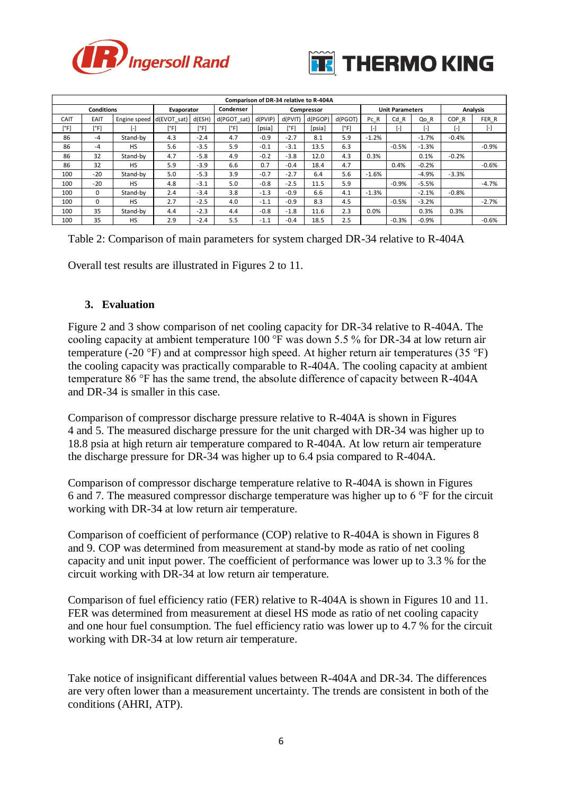



| Comparison of DR-34 relative to R-404A |          |              |                                       |        |             |         |                        |         |         |          |              |                         |                     |                     |
|----------------------------------------|----------|--------------|---------------------------------------|--------|-------------|---------|------------------------|---------|---------|----------|--------------|-------------------------|---------------------|---------------------|
| <b>Conditions</b>                      |          |              | Condenser<br>Evaporator<br>Compressor |        |             |         | <b>Unit Parameters</b> |         |         | Analysis |              |                         |                     |                     |
| CAIT                                   | EAIT     | Engine speed | $d$ (EVOT sat)                        | d(ESH  | d(PGOT sat) | d(PVIP) | d(PVIT)                | d(PGOP) | d(PGOT) | Pc R     | $Cd$ $R$     | Qo R                    | COP <sub>R</sub>    | FER R               |
| [°F]                                   | [°F]     | Ŀ            | [°F]                                  | [°F]   | [°F]        | [psia]  | [°F]                   | [psia]  | [°F]    |          | $\mathbf{F}$ | $\lbrack \cdot \rbrack$ | $\lbrack - \rbrack$ | $\lbrack - \rbrack$ |
| 86                                     | $-4$     | Stand-by     | 4.3                                   | $-2.4$ | 4.7         | $-0.9$  | $-2.7$                 | 8.1     | 5.9     | $-1.2%$  |              | $-1.7%$                 | $-0.4%$             |                     |
| 86                                     | $-4$     | <b>HS</b>    | 5.6                                   | $-3.5$ | 5.9         | $-0.1$  | $-3.1$                 | 13.5    | 6.3     |          | $-0.5%$      | $-1.3%$                 |                     | $-0.9%$             |
| 86                                     | 32       | Stand-by     | 4.7                                   | $-5.8$ | 4.9         | $-0.2$  | $-3.8$                 | 12.0    | 4.3     | 0.3%     |              | 0.1%                    | $-0.2%$             |                     |
| 86                                     | 32       | <b>HS</b>    | 5.9                                   | $-3.9$ | 6.6         | 0.7     | $-0.4$                 | 18.4    | 4.7     |          | 0.4%         | $-0.2%$                 |                     | $-0.6%$             |
| 100                                    | $-20$    | Stand-by     | 5.0                                   | $-5.3$ | 3.9         | $-0.7$  | $-2.7$                 | 6.4     | 5.6     | $-1.6%$  |              | $-4.9%$                 | $-3.3%$             |                     |
| 100                                    | $-20$    | <b>HS</b>    | 4.8                                   | $-3.1$ | 5.0         | $-0.8$  | $-2.5$                 | 11.5    | 5.9     |          | $-0.9%$      | $-5.5%$                 |                     | $-4.7%$             |
| 100                                    | $\Omega$ | Stand-by     | 2.4                                   | $-3.4$ | 3.8         | $-1.3$  | $-0.9$                 | 6.6     | 4.1     | $-1.3%$  |              | $-2.1%$                 | $-0.8%$             |                     |
| 100                                    | $\Omega$ | <b>HS</b>    | 2.7                                   | $-2.5$ | 4.0         | $-1.1$  | $-0.9$                 | 8.3     | 4.5     |          | $-0.5%$      | $-3.2%$                 |                     | $-2.7%$             |
| 100                                    | 35       | Stand-by     | 4.4                                   | $-2.3$ | 4.4         | $-0.8$  | $-1.8$                 | 11.6    | 2.3     | 0.0%     |              | 0.3%                    | 0.3%                |                     |
| 100                                    | 35       | <b>HS</b>    | 2.9                                   | $-2.4$ | 5.5         | $-1.1$  | $-0.4$                 | 18.5    | 2.5     |          | $-0.3%$      | $-0.9%$                 |                     | $-0.6%$             |

Table 2: Comparison of main parameters for system charged DR-34 relative to R-404A

Overall test results are illustrated in Figures 2 to 11.

## **3. Evaluation**

Figure 2 and 3 show comparison of net cooling capacity for DR-34 relative to R-404A. The cooling capacity at ambient temperature 100 °F was down 5.5 % for DR-34 at low return air temperature (-20 °F) and at compressor high speed. At higher return air temperatures (35 °F) the cooling capacity was practically comparable to R-404A. The cooling capacity at ambient temperature 86 °F has the same trend, the absolute difference of capacity between R-404A and DR-34 is smaller in this case.

Comparison of compressor discharge pressure relative to R-404A is shown in Figures 4 and 5. The measured discharge pressure for the unit charged with DR-34 was higher up to 18.8 psia at high return air temperature compared to R-404A. At low return air temperature the discharge pressure for DR-34 was higher up to 6.4 psia compared to R-404A.

Comparison of compressor discharge temperature relative to R-404A is shown in Figures 6 and 7. The measured compressor discharge temperature was higher up to 6 °F for the circuit working with DR-34 at low return air temperature.

Comparison of coefficient of performance (COP) relative to R-404A is shown in Figures 8 and 9. COP was determined from measurement at stand-by mode as ratio of net cooling capacity and unit input power. The coefficient of performance was lower up to 3.3 % for the circuit working with DR-34 at low return air temperature.

Comparison of fuel efficiency ratio (FER) relative to R-404A is shown in Figures 10 and 11. FER was determined from measurement at diesel HS mode as ratio of net cooling capacity and one hour fuel consumption. The fuel efficiency ratio was lower up to 4.7 % for the circuit working with DR-34 at low return air temperature.

Take notice of insignificant differential values between R-404A and DR-34. The differences are very often lower than a measurement uncertainty. The trends are consistent in both of the conditions (AHRI, ATP).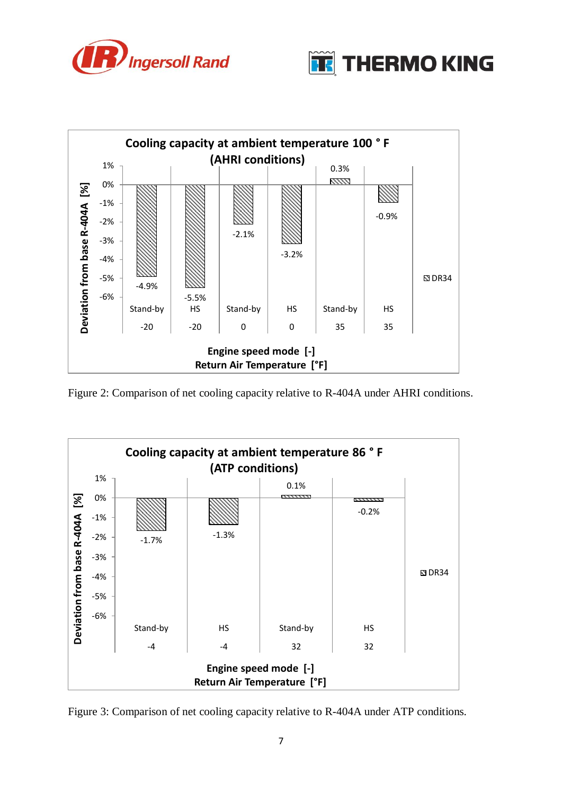





Figure 2: Comparison of net cooling capacity relative to R-404A under AHRI conditions.



Figure 3: Comparison of net cooling capacity relative to R-404A under ATP conditions.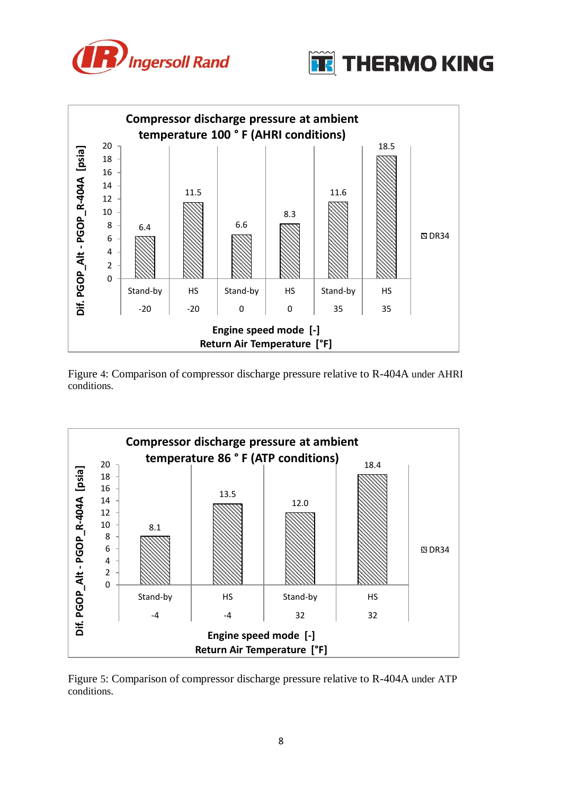





Figure 4: Comparison of compressor discharge pressure relative to R-404A under AHRI conditions.



Figure 5: Comparison of compressor discharge pressure relative to R-404A under ATP conditions.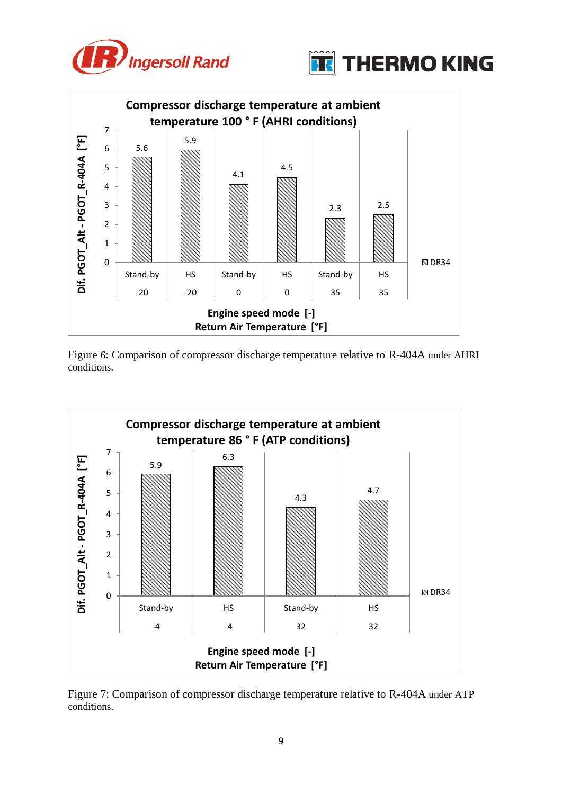









Figure 7: Comparison of compressor discharge temperature relative to R-404A under ATP conditions.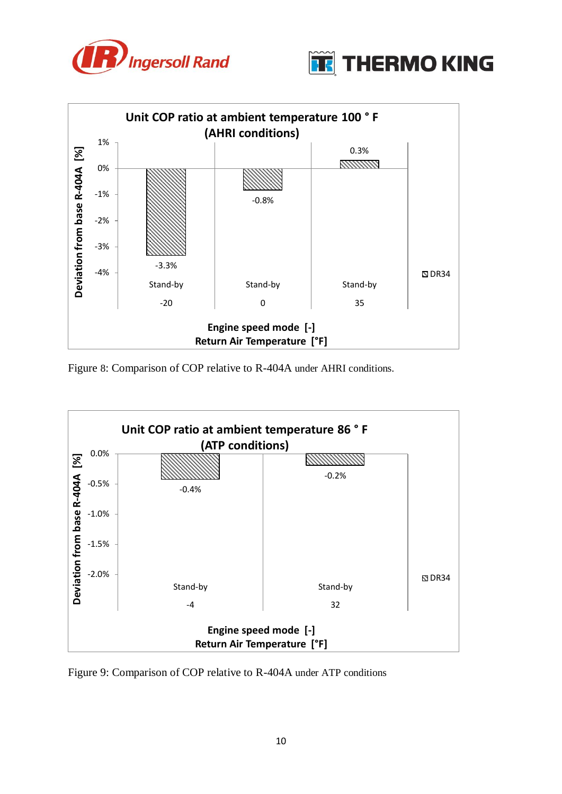





Figure 8: Comparison of COP relative to R-404A under AHRI conditions.



Figure 9: Comparison of COP relative to R-404A under ATP conditions